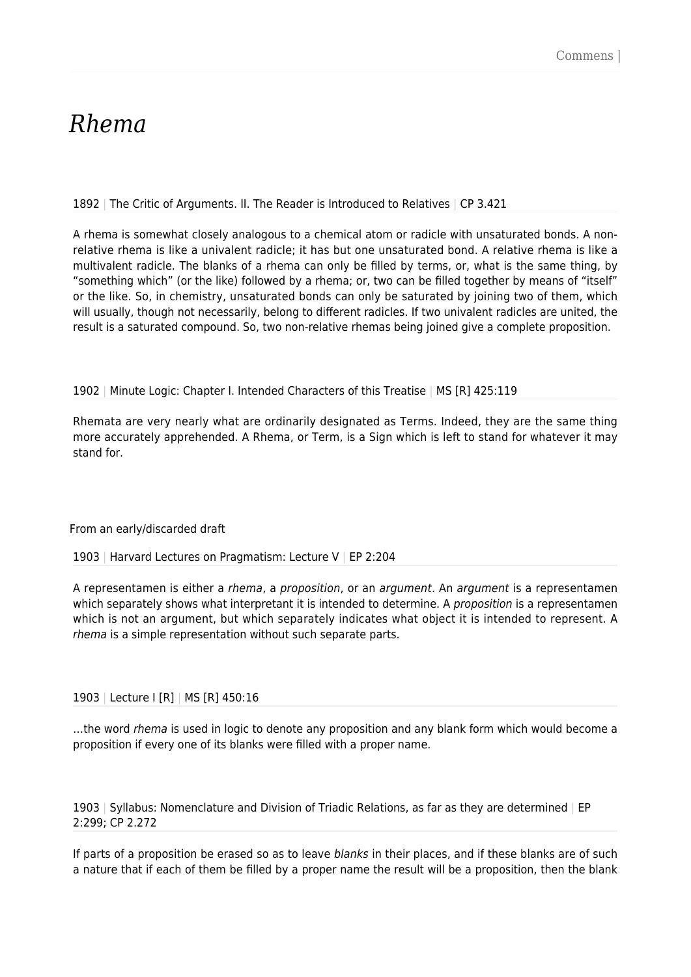# *Rhema*

1892 | The Critic of Arguments. II. The Reader is Introduced to Relatives | CP 3.421

A rhema is somewhat closely analogous to a chemical atom or radicle with unsaturated bonds. A nonrelative rhema is like a univalent radicle; it has but one unsaturated bond. A relative rhema is like a multivalent radicle. The blanks of a rhema can only be filled by terms, or, what is the same thing, by "something which" (or the like) followed by a rhema; or, two can be filled together by means of "itself" or the like. So, in chemistry, unsaturated bonds can only be saturated by joining two of them, which will usually, though not necessarily, belong to different radicles. If two univalent radicles are united, the result is a saturated compound. So, two non-relative rhemas being joined give a complete proposition.

# 1902 | Minute Logic: Chapter I. Intended Characters of this Treatise | MS [R] 425:119

Rhemata are very nearly what are ordinarily designated as Terms. Indeed, they are the same thing more accurately apprehended. A Rhema, or Term, is a Sign which is left to stand for whatever it may stand for.

From an early/discarded draft

1903 | Harvard Lectures on Pragmatism: Lecture V | EP 2:204

A representamen is either a rhema, a proposition, or an argument. An argument is a representamen which separately shows what interpretant it is intended to determine. A proposition is a representamen which is not an argument, but which separately indicates what object it is intended to represent. A rhema is a simple representation without such separate parts.

# 1903 | Lecture I [R] | MS [R] 450:16

...the word rhema is used in logic to denote any proposition and any blank form which would become a proposition if every one of its blanks were filled with a proper name.

1903 | Syllabus: Nomenclature and Division of Triadic Relations, as far as they are determined | EP 2:299; CP 2.272

If parts of a proposition be erased so as to leave blanks in their places, and if these blanks are of such a nature that if each of them be filled by a proper name the result will be a proposition, then the blank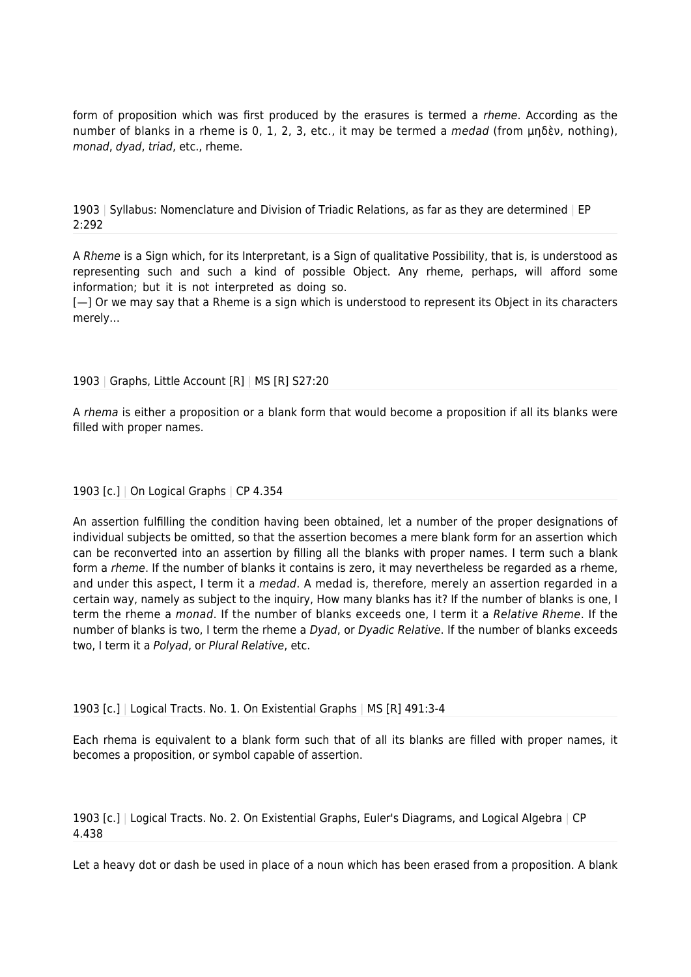form of proposition which was first produced by the erasures is termed a rheme. According as the number of blanks in a rheme is 0, 1, 2, 3, etc., it may be termed a medad (from μηδὲν, nothing), monad, dyad, triad, etc., rheme.

1903 | Syllabus: Nomenclature and Division of Triadic Relations, as far as they are determined | EP 2:292

A Rheme is a Sign which, for its Interpretant, is a Sign of qualitative Possibility, that is, is understood as representing such and such a kind of possible Object. Any rheme, perhaps, will afford some information; but it is not interpreted as doing so.

[-] Or we may say that a Rheme is a sign which is understood to represent its Object in its characters merely…

#### 1903 | Graphs, Little Account [R] | MS [R] S27:20

A rhema is either a proposition or a blank form that would become a proposition if all its blanks were filled with proper names.

#### 1903 [c.] | On Logical Graphs | CP 4.354

An assertion fulfilling the condition having been obtained, let a number of the proper designations of individual subjects be omitted, so that the assertion becomes a mere blank form for an assertion which can be reconverted into an assertion by filling all the blanks with proper names. I term such a blank form a *rheme*. If the number of blanks it contains is zero, it may nevertheless be regarded as a rheme, and under this aspect, I term it a *medad*. A medad is, therefore, merely an assertion regarded in a certain way, namely as subject to the inquiry, How many blanks has it? If the number of blanks is one, I term the rheme a monad. If the number of blanks exceeds one, I term it a Relative Rheme. If the number of blanks is two, I term the rheme a Dyad, or Dyadic Relative. If the number of blanks exceeds two, I term it a Polyad, or Plural Relative, etc.

# 1903 [c.] | Logical Tracts. No. 1. On Existential Graphs | MS [R] 491:3-4

Each rhema is equivalent to a blank form such that of all its blanks are filled with proper names, it becomes a proposition, or symbol capable of assertion.

1903 [c.] | Logical Tracts. No. 2. On Existential Graphs, Euler's Diagrams, and Logical Algebra | CP 4.438

Let a heavy dot or dash be used in place of a noun which has been erased from a proposition. A blank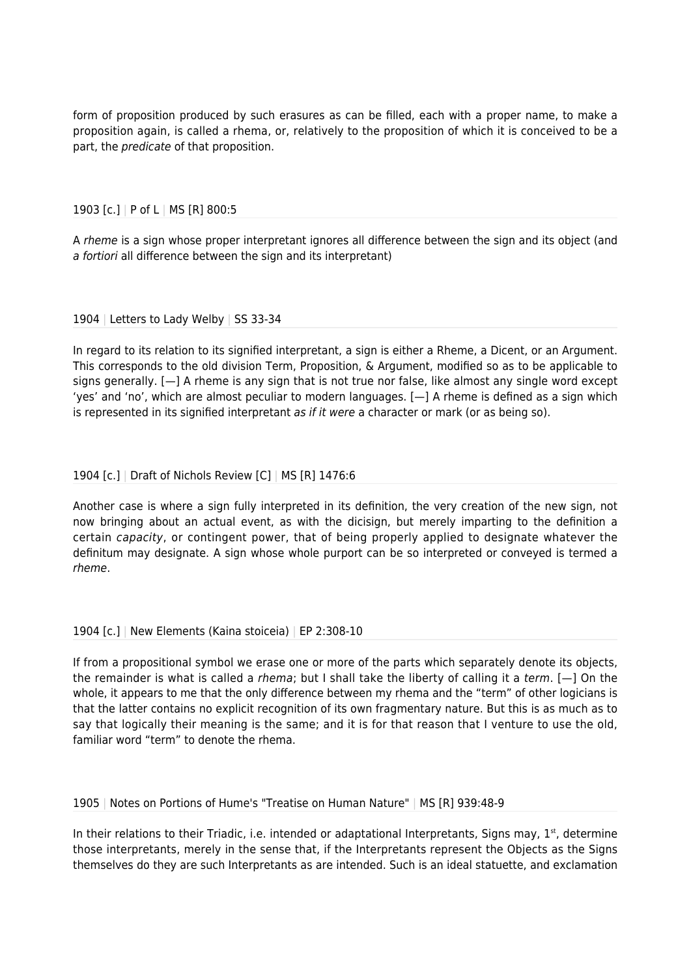form of proposition produced by such erasures as can be filled, each with a proper name, to make a proposition again, is called a rhema, or, relatively to the proposition of which it is conceived to be a part, the *predicate* of that proposition.

# 1903 [c.] | P of L | MS [R] 800:5

A *rheme* is a sign whose proper interpretant ignores all difference between the sign and its object (and a fortiori all difference between the sign and its interpretant)

# 1904 | Letters to Lady Welby | SS 33-34

In regard to its relation to its signified interpretant, a sign is either a Rheme, a Dicent, or an Argument. This corresponds to the old division Term, Proposition, & Argument, modified so as to be applicable to signs generally. [—] A rheme is any sign that is not true nor false, like almost any single word except 'yes' and 'no', which are almost peculiar to modern languages. [—] A rheme is defined as a sign which is represented in its signified interpretant as if it were a character or mark (or as being so).

# 1904 [c.] | Draft of Nichols Review [C] | MS [R] 1476:6

Another case is where a sign fully interpreted in its definition, the very creation of the new sign, not now bringing about an actual event, as with the dicisign, but merely imparting to the definition a certain capacity, or contingent power, that of being properly applied to designate whatever the definitum may designate. A sign whose whole purport can be so interpreted or conveyed is termed a rheme.

# 1904 [c.] | New Elements (Kaina stoiceia) | EP 2:308-10

If from a propositional symbol we erase one or more of the parts which separately denote its objects, the remainder is what is called a *rhema*; but I shall take the liberty of calling it a term.  $[-]$  On the whole, it appears to me that the only difference between my rhema and the "term" of other logicians is that the latter contains no explicit recognition of its own fragmentary nature. But this is as much as to say that logically their meaning is the same; and it is for that reason that I venture to use the old, familiar word "term" to denote the rhema.

# 1905 | Notes on Portions of Hume's "Treatise on Human Nature" | MS [R] 939:48-9

In their relations to their Triadic, i.e. intended or adaptational Interpretants, Signs may,  $1<sup>st</sup>$ , determine those interpretants, merely in the sense that, if the Interpretants represent the Objects as the Signs themselves do they are such Interpretants as are intended. Such is an ideal statuette, and exclamation